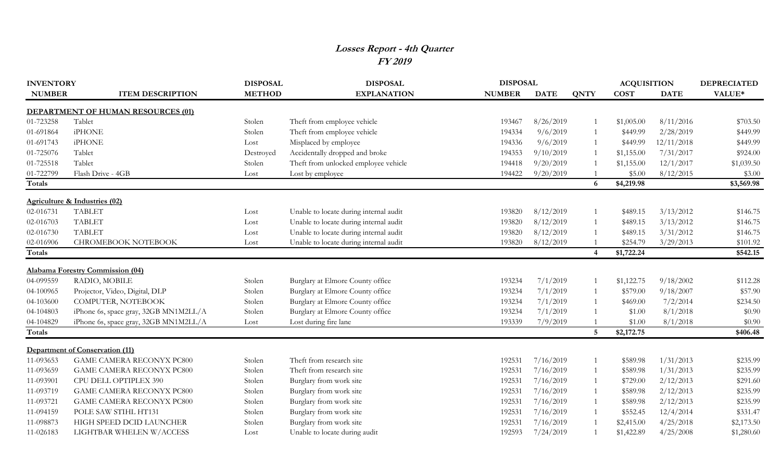## **Losses Report - 4th Quarter FY 2019**

| <b>INVENTORY</b> |                                          | <b>DISPOSAL</b> | <b>DISPOSAL</b>                        |               | <b>DISPOSAL</b> |                |             | <b>ACQUISITION</b> | <b>DEPRECIATED</b> |
|------------------|------------------------------------------|-----------------|----------------------------------------|---------------|-----------------|----------------|-------------|--------------------|--------------------|
| <b>NUMBER</b>    | <b>ITEM DESCRIPTION</b>                  | <b>METHOD</b>   | <b>EXPLANATION</b>                     | <b>NUMBER</b> | <b>DATE</b>     | <b>QNTY</b>    | <b>COST</b> | <b>DATE</b>        | VALUE*             |
|                  | DEPARTMENT OF HUMAN RESOURCES (01)       |                 |                                        |               |                 |                |             |                    |                    |
| 01-723258        | Tablet                                   | Stolen          | Theft from employee vehicle            | 193467        | 8/26/2019       | $\mathbf{1}$   | \$1,005.00  | 8/11/2016          | \$703.50           |
| 01-691864        | <b>iPHONE</b>                            | Stolen          | Theft from employee vehicle            | 194334        | 9/6/2019        |                | \$449.99    | 2/28/2019          | \$449.99           |
| 01-691743        | <b>iPHONE</b>                            | Lost            | Misplaced by employee                  | 194336        | 9/6/2019        |                | \$449.99    | 12/11/2018         | \$449.99           |
| 01-725076        | Tablet                                   | Destroyed       | Accidentally dropped and broke         | 194353        | 9/10/2019       |                | \$1,155.00  | 7/31/2017          | \$924.00           |
| 01-725518        | Tablet                                   | Stolen          | Theft from unlocked employee vehicle   | 194418        | 9/20/2019       |                | \$1,155.00  | 12/1/2017          | \$1,039.50         |
| 01-722799        | Flash Drive - 4GB                        | Lost            | Lost by employee                       | 194422        | 9/20/2019       |                | \$5.00      | 8/12/2015          | \$3.00             |
| Totals           |                                          |                 |                                        |               |                 | 6              | \$4,219.98  |                    | \$3,569.98         |
|                  | <b>Agriculture &amp; Industries (02)</b> |                 |                                        |               |                 |                |             |                    |                    |
| 02-016731        | <b>TABLET</b>                            | Lost            | Unable to locate during internal audit | 193820        | 8/12/2019       | $\mathbf{1}$   | \$489.15    | 3/13/2012          | \$146.75           |
| 02-016703        | <b>TABLET</b>                            | Lost            | Unable to locate during internal audit | 193820        | 8/12/2019       | $\overline{1}$ | \$489.15    | 3/13/2012          | \$146.75           |
| 02-016730        | <b>TABLET</b>                            | Lost            | Unable to locate during internal audit | 193820        | 8/12/2019       |                | \$489.15    | 3/31/2012          | \$146.75           |
| 02-016906        | CHROMEBOOK NOTEBOOK                      | Lost            | Unable to locate during internal audit | 193820        | 8/12/2019       |                | \$254.79    | 3/29/2013          | \$101.92           |
| <b>Totals</b>    |                                          |                 |                                        |               |                 | $\overline{4}$ | \$1,722.24  |                    | \$542.15           |
|                  | <b>Alabama Forestry Commission (04)</b>  |                 |                                        |               |                 |                |             |                    |                    |
| 04-099559        | RADIO, MOBILE                            | Stolen          | Burglary at Elmore County office       | 193234        | 7/1/2019        |                | \$1,122.75  | 9/18/2002          | \$112.28           |
| 04-100965        | Projector, Video, Digital, DLP           | Stolen          | Burglary at Elmore County office       | 193234        | 7/1/2019        |                | \$579.00    | 9/18/2007          | \$57.90            |
| 04-103600        | COMPUTER, NOTEBOOK                       | Stolen          | Burglary at Elmore County office       | 193234        | 7/1/2019        |                | \$469.00    | 7/2/2014           | \$234.50           |
| 04-104803        | iPhone 6s, space gray, 32GB MN1M2LL/A    | Stolen          | Burglary at Elmore County office       | 193234        | 7/1/2019        |                | \$1.00      | 8/1/2018           | \$0.90             |
| 04-104829        | iPhone 6s, space gray, 32GB MN1M2LL/A    | Lost            | Lost during fire lane                  | 193339        | 7/9/2019        |                | \$1.00      | 8/1/2018           | \$0.90             |
| <b>Totals</b>    |                                          |                 |                                        |               |                 | 5              | \$2,172.75  |                    | \$406.48           |
|                  | Department of Conservation (11)          |                 |                                        |               |                 |                |             |                    |                    |
| 11-093653        | <b>GAME CAMERA RECONYX PC800</b>         | Stolen          | Theft from research site               | 192531        | 7/16/2019       |                | \$589.98    | 1/31/2013          | \$235.99           |
| 11-093659        | <b>GAME CAMERA RECONYX PC800</b>         | Stolen          | Theft from research site               | 192531        | 7/16/2019       |                | \$589.98    | 1/31/2013          | \$235.99           |
| 11-093901        | CPU DELL OPTIPLEX 390                    | Stolen          | Burglary from work site                | 192531        | 7/16/2019       |                | \$729.00    | 2/12/2013          | \$291.60           |
| 11-093719        | <b>GAME CAMERA RECONYX PC800</b>         | Stolen          | Burglary from work site                | 192531        | 7/16/2019       |                | \$589.98    | 2/12/2013          | \$235.99           |
| 11-093721        | GAME CAMERA RECONYX PC800                | Stolen          | Burglary from work site                | 192531        | 7/16/2019       |                | \$589.98    | 2/12/2013          | \$235.99           |
| 11-094159        | POLE SAW STIHL HT131                     | Stolen          | Burglary from work site                | 192531        | 7/16/2019       |                | \$552.45    | 12/4/2014          | \$331.47           |
| 11-098873        | HIGH SPEED DCID LAUNCHER                 | Stolen          | Burglary from work site                | 192531        | 7/16/2019       |                | \$2,415.00  | 4/25/2018          | \$2,173.50         |
| 11-026183        | LIGHTBAR WHELEN W/ACCESS                 | Lost            | Unable to locate during audit          | 192593        | 7/24/2019       |                | \$1,422.89  | 4/25/2008          | \$1,280.60         |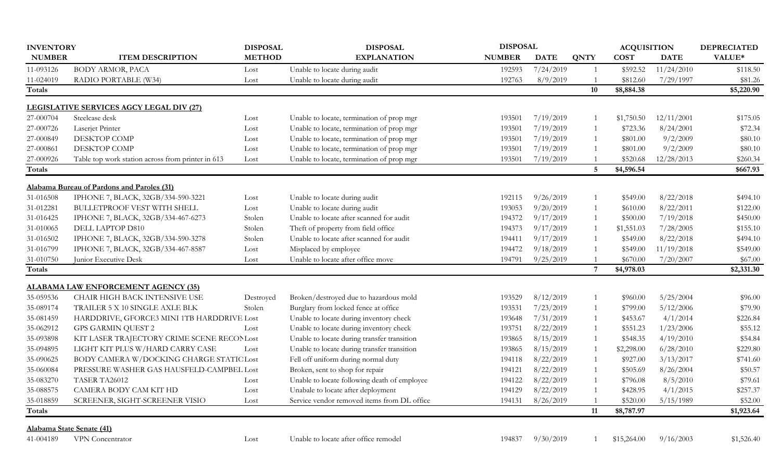| <b>INVENTORY</b> |                                                   | <b>DISPOSAL</b> | <b>DISPOSAL</b>                              | <b>DISPOSAL</b> |             |                | <b>ACQUISITION</b> |             | <b>DEPRECIATED</b> |
|------------------|---------------------------------------------------|-----------------|----------------------------------------------|-----------------|-------------|----------------|--------------------|-------------|--------------------|
| <b>NUMBER</b>    | <b>ITEM DESCRIPTION</b>                           | <b>METHOD</b>   | <b>EXPLANATION</b>                           | <b>NUMBER</b>   | <b>DATE</b> | <b>QNTY</b>    | <b>COST</b>        | <b>DATE</b> | VALUE*             |
| 11-093126        | BODY ARMOR, PACA                                  | Lost            | Unable to locate during audit                | 192593          | 7/24/2019   |                | \$592.52           | 11/24/2010  | \$118.50           |
| 11-024019        | RADIO PORTABLE (W34)                              | Lost            | Unable to locate during audit                | 192763          | 8/9/2019    |                | \$812.60           | 7/29/1997   | \$81.26            |
| Totals           |                                                   |                 |                                              |                 |             | 10             | \$8,884.38         |             | \$5,220.90         |
|                  | <b>LEGISLATIVE SERVICES AGCY LEGAL DIV (27)</b>   |                 |                                              |                 |             |                |                    |             |                    |
| 27-000704        | Steelcase desk                                    | Lost            | Unable to locate, termination of prop mgr    | 193501          | 7/19/2019   |                | \$1,750.50         | 12/11/2001  | \$175.05           |
| 27-000726        | Laserjet Printer                                  | Lost            | Unable to locate, termination of prop mgr    | 193501          | 7/19/2019   | -1             | \$723.36           | 8/24/2001   | \$72.34            |
| 27-000849        | DESKTOP COMP                                      | Lost            | Unable to locate, termination of prop mgr    | 193501          | 7/19/2019   |                | \$801.00           | 9/2/2009    | \$80.10            |
| 27-000861        | <b>DESKTOP COMP</b>                               | Lost            | Unable to locate, termination of prop mgr    | 193501          | 7/19/2019   |                | \$801.00           | 9/2/2009    | \$80.10            |
| 27-000926        | Table top work station across from printer in 613 | Lost            | Unable to locate, termination of prop mgr    | 193501          | 7/19/2019   |                | \$520.68           | 12/28/2013  | \$260.34           |
| Totals           |                                                   |                 |                                              |                 |             | 5              | \$4,596.54         |             | \$667.93           |
|                  | Alabama Bureau of Pardons and Paroles (31)        |                 |                                              |                 |             |                |                    |             |                    |
| 31-016508        | IPHONE 7, BLACK, 32GB/334-590-3221                | Lost            | Unable to locate during audit                | 192115          | 9/26/2019   | -1             | \$549.00           | 8/22/2018   | \$494.10           |
| 31-012281        | <b>BULLETPROOF VEST WITH SHELL</b>                | Lost            | Unable to locate during audit                | 193053          | 9/20/2019   |                | \$610.00           | 8/22/2011   | \$122.00           |
| 31-016425        | IPHONE 7, BLACK, 32GB/334-467-6273                | Stolen          | Unable to locate after scanned for audit     | 194372          | 9/17/2019   |                | \$500.00           | 7/19/2018   | \$450.00           |
| 31-010065        | DELL LAPTOP D810                                  | Stolen          | Theft of property from field office          | 194373          | 9/17/2019   |                | \$1,551.03         | 7/28/2005   | \$155.10           |
| 31-016502        | IPHONE 7, BLACK, 32GB/334-590-3278                | Stolen          | Unable to locate after scanned for audit     | 194411          | 9/17/2019   |                | \$549.00           | 8/22/2018   | \$494.10           |
| 31-016799        | IPHONE 7, BLACK, 32GB/334-467-8587                | Lost            | Misplaced by employee                        | 194472          | 9/18/2019   |                | \$549.00           | 11/19/2018  | \$549.00           |
| 31-010750        | Junior Executive Desk                             | Lost            | Unable to locate after office move           | 194791          | 9/25/2019   |                | \$670.00           | 7/20/2007   | \$67.00            |
| Totals           |                                                   |                 |                                              |                 |             | $\overline{7}$ | \$4,978.03         |             | \$2,331.30         |
|                  | <b>ALABAMA LAW ENFORCEMENT AGENCY (35)</b>        |                 |                                              |                 |             |                |                    |             |                    |
| 35-059536        | CHAIR HIGH BACK INTENSIVE USE                     | Destroyed       | Broken/destroyed due to hazardous mold       | 193529          | 8/12/2019   |                | \$960.00           | 5/25/2004   | \$96.00            |
| 35-089174        | TRAILER 5 X 10 SINGLE AXLE BLK                    | Stolen          | Burglary from locked fence at office         | 193531          | 7/23/2019   |                | \$799.00           | 5/12/2006   | \$79.90            |
| 35-081459        | HARDDRIVE, GFORCE3 MINI 1TB HARDDRIVE Lost        |                 | Unable to locate during inventory check      | 193648          | 7/31/2019   |                | \$453.67           | 4/1/2014    | \$226.84           |
| 35-062912        | <b>GPS GARMIN QUEST 2</b>                         | Lost            | Unable to locate during inventory check      | 193751          | 8/22/2019   |                | \$551.23           | 1/23/2006   | \$55.12            |
| 35-093898        | KIT LASER TRAJECTORY CRIME SCENE RECONLost        |                 | Unable to locate during transfer transition  | 193865          | 8/15/2019   |                | \$548.35           | 4/19/2010   | \$54.84            |
| 35-094895        | LIGHT KIT PLUS W/HARD CARRY CASE                  | Lost            | Unable to locate during transfer transition  | 193865          | 8/15/2019   |                | \$2,298.00         | 6/28/2010   | \$229.80           |
| 35-090625        | BODY CAMERA W/DOCKING CHARGE STATIC Lost          |                 | Fell off uniform during normal duty          | 194118          | 8/22/2019   |                | \$927.00           | 3/13/2017   | \$741.60           |
| 35-060084        | PRESSURE WASHER GAS HAUSFELD-CAMPBEL Lost         |                 | Broken, sent to shop for repair              | 194121          | 8/22/2019   |                | \$505.69           | 8/26/2004   | \$50.57            |
| 35-083270        | TASER TA26012                                     | Lost            | Unable to locate following death of employee | 194122          | 8/22/2019   |                | \$796.08           | 8/5/2010    | \$79.61            |
| 35-088575        | CAMERA BODY CAM KIT HD                            | Lost            | Unabale to locate after deployment           | 194129          | 8/22/2019   |                | \$428.95           | 4/1/2015    | \$257.37           |
| 35-018859        | SCREENER, SIGHT-SCREENER VISIO                    | Lost            | Service vendor removed items from DL office  | 194131          | 8/26/2019   |                | \$520.00           | 5/15/1989   | \$52.00            |
| Totals           |                                                   |                 |                                              |                 |             | 11             | \$8,787.97         |             | \$1,923.64         |
|                  | Alabama State Senate (41)                         |                 |                                              |                 |             |                |                    |             |                    |
| 41-004189        | VPN Concentrator                                  | Lost            | Unable to locate after office remodel        | 194837          | 9/30/2019   |                | \$15,264.00        | 9/16/2003   | \$1,526.40         |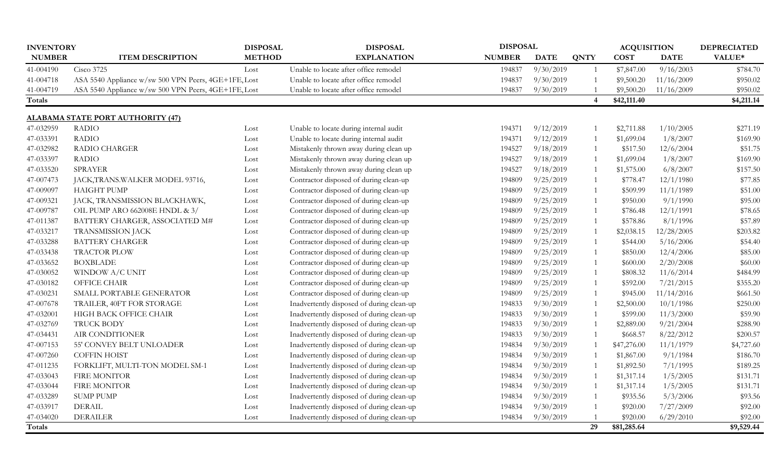| <b>INVENTORY</b> |                                                      | <b>DISPOSAL</b> | <b>DISPOSAL</b>                           |               | <b>DISPOSAL</b> |                       |             | <b>ACQUISITION</b> | <b>DEPRECIATED</b> |
|------------------|------------------------------------------------------|-----------------|-------------------------------------------|---------------|-----------------|-----------------------|-------------|--------------------|--------------------|
| <b>NUMBER</b>    | <b>ITEM DESCRIPTION</b>                              | <b>METHOD</b>   | <b>EXPLANATION</b>                        | <b>NUMBER</b> | <b>DATE</b>     | <b>QNTY</b>           | <b>COST</b> | <b>DATE</b>        | VALUE*             |
| 41-004190        | Cisco 3725                                           | Lost            | Unable to locate after office remodel     | 194837        | 9/30/2019       | -1                    | \$7,847.00  | 9/16/2003          | \$784.70           |
| 41-004718        | ASA 5540 Appliance w/sw 500 VPN Peers, 4GE+1FE, Lost |                 | Unable to locate after office remodel     | 194837        | 9/30/2019       | $\overline{1}$        | \$9,500.20  | 11/16/2009         | \$950.02           |
| 41-004719        | ASA 5540 Appliance w/sw 500 VPN Peers, 4GE+1FE, Lost |                 | Unable to locate after office remodel     | 194837        | 9/30/2019       |                       | \$9,500.20  | 11/16/2009         | \$950.02           |
| Totals           |                                                      |                 |                                           |               |                 | $\boldsymbol{\Delta}$ | \$42,111.40 |                    | \$4,211.14         |
|                  | <b>ALABAMA STATE PORT AUTHORITY (47)</b>             |                 |                                           |               |                 |                       |             |                    |                    |
| 47-032959        | <b>RADIO</b>                                         | Lost            | Unable to locate during internal audit    | 194371        | 9/12/2019       |                       | \$2,711.88  | 1/10/2005          | \$271.19           |
| 47-033391        | <b>RADIO</b>                                         | Lost            | Unable to locate during internal audit    | 194371        | 9/12/2019       | $\overline{1}$        | \$1,699.04  | 1/8/2007           | \$169.90           |
| 47-032982        | RADIO CHARGER                                        | Lost            | Mistakenly thrown away during clean up    | 194527        | 9/18/2019       | -1                    | \$517.50    | 12/6/2004          | \$51.75            |
| 47-033397        | <b>RADIO</b>                                         | Lost            | Mistakenly thrown away during clean up    | 194527        | 9/18/2019       | -1                    | \$1,699.04  | 1/8/2007           | \$169.90           |
| 47-033520        | <b>SPRAYER</b>                                       | Lost            | Mistakenly thrown away during clean up    | 194527        | 9/18/2019       | -1                    | \$1,575.00  | 6/8/2007           | \$157.50           |
| 47-007473        | JACK, TRANS. WALKER MODEL 93716,                     | Lost            | Contractor disposed of during clean-up    | 194809        | 9/25/2019       | -1                    | \$778.47    | 12/1/1980          | \$77.85            |
| 47-009097        | <b>HAIGHT PUMP</b>                                   | Lost            | Contractor disposed of during clean-up    | 194809        | 9/25/2019       | -1                    | \$509.99    | 11/1/1989          | \$51.00            |
| 47-009321        | JACK, TRANSMISSION BLACKHAWK,                        | Lost            | Contractor disposed of during clean-up    | 194809        | 9/25/2019       | $\overline{1}$        | \$950.00    | 9/1/1990           | \$95.00            |
| 47-009787        | OIL PUMP ARO 662008E HNDL & 3/                       | Lost            | Contractor disposed of during clean-up    | 194809        | 9/25/2019       | -1                    | \$786.48    | 12/1/1991          | \$78.65            |
| 47-011387        | BATTERY CHARGER, ASSOCIATED M#                       | Lost            | Contractor disposed of during clean-up    | 194809        | 9/25/2019       | $\overline{1}$        | \$578.86    | 8/1/1996           | \$57.89            |
| 47-033217        | <b>TRANSMISSION JACK</b>                             | Lost            | Contractor disposed of during clean-up    | 194809        | 9/25/2019       | $\overline{1}$        | \$2,038.15  | 12/28/2005         | \$203.82           |
| 47-033288        | <b>BATTERY CHARGER</b>                               | Lost            | Contractor disposed of during clean-up    | 194809        | 9/25/2019       | $\mathbf{1}$          | \$544.00    | 5/16/2006          | \$54.40            |
| 47-033438        | <b>TRACTOR PLOW</b>                                  | Lost            | Contractor disposed of during clean-up    | 194809        | 9/25/2019       | $\overline{1}$        | \$850.00    | 12/4/2006          | \$85.00            |
| 47-033652        | <b>BOXBLADE</b>                                      | Lost            | Contractor disposed of during clean-up    | 194809        | 9/25/2019       | $\overline{1}$        | \$600.00    | 2/20/2008          | \$60.00            |
| 47-030052        | WINDOW A/C UNIT                                      | Lost            | Contractor disposed of during clean-up    | 194809        | 9/25/2019       | $\overline{1}$        | \$808.32    | 11/6/2014          | \$484.99           |
| 47-030182        | <b>OFFICE CHAIR</b>                                  | Lost            | Contractor disposed of during clean-up    | 194809        | 9/25/2019       | -1                    | \$592.00    | 7/21/2015          | \$355.20           |
| 47-030231        | SMALL PORTABLE GENERATOR                             | Lost            | Contractor disposed of during clean-up    | 194809        | 9/25/2019       | $\overline{1}$        | \$945.00    | 11/14/2016         | \$661.50           |
| 47-007678        | TRAILER, 40FT FOR STORAGE                            | Lost            | Inadvertently disposed of during clean-up | 194833        | 9/30/2019       |                       | \$2,500.00  | 10/1/1986          | \$250.00           |
| 47-032001        | HIGH BACK OFFICE CHAIR                               | Lost            | Inadvertently disposed of during clean-up | 194833        | 9/30/2019       |                       | \$599.00    | 11/3/2000          | \$59.90            |
| 47-032769        | <b>TRUCK BODY</b>                                    | Lost            | Inadvertently disposed of during clean-up | 194833        | 9/30/2019       | $\mathbf{1}$          | \$2,889.00  | 9/21/2004          | \$288.90           |
| 47-034431        | AIR CONDITIONER                                      | Lost            | Inadvertently disposed of during clean-up | 194833        | 9/30/2019       | $\overline{1}$        | \$668.57    | 8/22/2012          | \$200.57           |
| 47-007153        | 55' CONVEY BELT UNLOADER                             | Lost            | Inadvertently disposed of during clean-up | 194834        | 9/30/2019       |                       | \$47,276.00 | 11/1/1979          | \$4,727.60         |
| 47-007260        | <b>COFFIN HOIST</b>                                  | Lost            | Inadvertently disposed of during clean-up | 194834        | 9/30/2019       | -1                    | \$1,867.00  | 9/1/1984           | \$186.70           |
| 47-011235        | FORKLIFT, MULTI-TON MODEL SM-1                       | Lost            | Inadvertently disposed of during clean-up | 194834        | 9/30/2019       | -1                    | \$1,892.50  | 7/1/1995           | \$189.25           |
| 47-033043        | <b>FIRE MONITOR</b>                                  | Lost            | Inadvertently disposed of during clean-up | 194834        | 9/30/2019       | -1                    | \$1,317.14  | 1/5/2005           | \$131.71           |
| 47-033044        | FIRE MONITOR                                         | Lost            | Inadvertently disposed of during clean-up | 194834        | 9/30/2019       | -1                    | \$1,317.14  | 1/5/2005           | \$131.71           |
| 47-033289        | <b>SUMP PUMP</b>                                     | Lost            | Inadvertently disposed of during clean-up | 194834        | 9/30/2019       | -1                    | \$935.56    | 5/3/2006           | \$93.56            |
| 47-033917        | <b>DERAIL</b>                                        | Lost            | Inadvertently disposed of during clean-up | 194834        | 9/30/2019       |                       | \$920.00    | 7/27/2009          | \$92.00            |
| 47-034020        | <b>DERAILER</b>                                      | Lost            | Inadvertently disposed of during clean-up | 194834        | 9/30/2019       |                       | \$920.00    | 6/29/2010          | \$92.00            |
| Totals           |                                                      |                 |                                           |               |                 | 29                    | \$81,285.64 |                    | \$9,529.44         |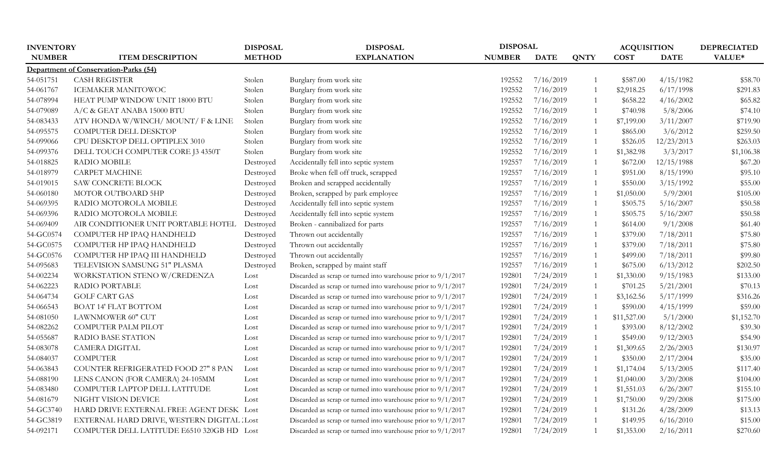| <b>INVENTORY</b> |                                             | <b>DISPOSAL</b> | <b>DISPOSAL</b>                                                 | <b>DISPOSAL</b> |             |                | <b>ACQUISITION</b> |             | <b>DEPRECIATED</b> |
|------------------|---------------------------------------------|-----------------|-----------------------------------------------------------------|-----------------|-------------|----------------|--------------------|-------------|--------------------|
| <b>NUMBER</b>    | <b>ITEM DESCRIPTION</b>                     | <b>METHOD</b>   | <b>EXPLANATION</b>                                              | <b>NUMBER</b>   | <b>DATE</b> | <b>QNTY</b>    | <b>COST</b>        | <b>DATE</b> | VALUE*             |
|                  | Department of Conservation-Parks (54)       |                 |                                                                 |                 |             |                |                    |             |                    |
| 54-051751        | <b>CASH REGISTER</b>                        | Stolen          | Burglary from work site                                         | 192552          | 7/16/2019   |                | \$587.00           | 4/15/1982   | \$58.70            |
| 54-061767        | <b>ICEMAKER MANITOWOC</b>                   | Stolen          | Burglary from work site                                         | 192552          | 7/16/2019   | -1             | \$2,918.25         | 6/17/1998   | \$291.83           |
| 54-078994        | HEAT PUMP WINDOW UNIT 18000 BTU             | Stolen          | Burglary from work site                                         | 192552          | 7/16/2019   | - 1            | \$658.22           | 4/16/2002   | \$65.82            |
| 54-079089        | A/C & GEAT ANABA 15000 BTU                  | Stolen          | Burglary from work site                                         | 192552          | 7/16/2019   | - 1            | \$740.98           | 5/8/2006    | \$74.10            |
| 54-083433        | ATV HONDA W/WINCH/ MOUNT/ F & LINE          | Stolen          | Burglary from work site                                         | 192552          | 7/16/2019   | - 1            | \$7,199.00         | 3/11/2007   | \$719.90           |
| 54-095575        | COMPUTER DELL DESKTOP                       | Stolen          | Burglary from work site                                         | 192552          | 7/16/2019   | - 1            | \$865.00           | 3/6/2012    | \$259.50           |
| 54-099066        | CPU DESKTOP DELL OPTIPLEX 3010              | Stolen          | Burglary from work site                                         | 192552          | 7/16/2019   | $\overline{1}$ | \$526.05           | 12/23/2013  | \$263.03           |
| 54-099376        | DELL TOUCH COMPUTER CORE J3 4350T           | Stolen          | Burglary from work site                                         | 192552          | 7/16/2019   | $\overline{1}$ | \$1,382.98         | 3/3/2017    | \$1,106.38         |
| 54-018825        | RADIO MOBILE                                | Destroyed       | Accidentally fell into septic system                            | 192557          | 7/16/2019   | $\overline{1}$ | \$672.00           | 12/15/1988  | \$67.20            |
| 54-018979        | <b>CARPET MACHINE</b>                       | Destroyed       | Broke when fell off truck, scrapped                             | 192557          | 7/16/2019   | $\overline{1}$ | \$951.00           | 8/15/1990   | \$95.10            |
| 54-019015        | <b>SAW CONCRETE BLOCK</b>                   | Destroyed       | Broken and scrapped accidentally                                | 192557          | 7/16/2019   | $\overline{1}$ | \$550.00           | 3/15/1992   | \$55.00            |
| 54-060180        | MOTOR OUTBOARD 5HP                          | Destroyed       | Broken, scrapped by park employee                               | 192557          | 7/16/2019   | $\overline{1}$ | \$1,050.00         | 5/9/2001    | \$105.00           |
| 54-069395        | RADIO MOTOROLA MOBILE                       | Destroyed       | Accidentally fell into septic system                            | 192557          | 7/16/2019   | $\overline{1}$ | \$505.75           | 5/16/2007   | \$50.58            |
| 54-069396        | RADIO MOTOROLA MOBILE                       | Destroyed       | Accidentally fell into septic system                            | 192557          | 7/16/2019   | $\overline{1}$ | \$505.75           | 5/16/2007   | \$50.58            |
| 54-069409        | AIR CONDITIONER UNIT PORTABLE HOTEL         | Destroyed       | Broken - cannibalized for parts                                 | 192557          | 7/16/2019   | $\overline{1}$ | \$614.00           | 9/1/2008    | \$61.40            |
| 54-GC0574        | COMPUTER HP IPAQ HANDHELD                   | Destroyed       | Thrown out accidentally                                         | 192557          | 7/16/2019   | -1             | \$379.00           | 7/18/2011   | \$75.80            |
| 54-GC0575        | COMPUTER HP IPAQ HANDHELD                   | Destroyed       | Thrown out accidentally                                         | 192557          | 7/16/2019   | $\overline{1}$ | \$379.00           | 7/18/2011   | \$75.80            |
| 54-GC0576        | COMPUTER HP IPAQ III HANDHELD               | Destroyed       | Thrown out accidentally                                         | 192557          | 7/16/2019   | $\overline{1}$ | \$499.00           | 7/18/2011   | \$99.80            |
| 54-095683        | TELEVISION SAMSUNG 51" PLASMA               | Destroyed       | Broken, scrapped by maint staff                                 | 192557          | 7/16/2019   | $\overline{1}$ | \$675.00           | 6/13/2012   | \$202.50           |
| 54-002234        | WORKSTATION STENO W/CREDENZA                | Lost            | Discarded as scrap or turned into warehouse prior to 9/1/2017   | 192801          | 7/24/2019   | $\overline{1}$ | \$1,330.00         | 9/15/1983   | \$133.00           |
| 54-062223        | RADIO PORTABLE                              | Lost            | Discarded as scrap or turned into warehouse prior to $9/1/2017$ | 192801          | 7/24/2019   | -1             | \$701.25           | 5/21/2001   | \$70.13            |
| 54-064734        | <b>GOLF CART GAS</b>                        | Lost            | Discarded as scrap or turned into warehouse prior to 9/1/2017   | 192801          | 7/24/2019   | -1             | \$3,162.56         | 5/17/1999   | \$316.26           |
| 54-066543        | BOAT 14' FLAT BOTTOM                        | Lost            | Discarded as scrap or turned into warehouse prior to 9/1/2017   | 192801          | 7/24/2019   |                | \$590.00           | 4/15/1999   | \$59.00            |
| 54-081050        | LAWNMOWER 60" CUT                           | Lost            | Discarded as scrap or turned into warehouse prior to 9/1/2017   | 192801          | 7/24/2019   | - 1            | \$11,527.00        | 5/1/2000    | \$1,152.70         |
| 54-082262        | COMPUTER PALM PILOT                         | Lost            | Discarded as scrap or turned into warehouse prior to $9/1/2017$ | 192801          | 7/24/2019   | - 1            | \$393.00           | 8/12/2002   | \$39.30            |
| 54-055687        | <b>RADIO BASE STATION</b>                   | Lost            | Discarded as scrap or turned into warehouse prior to 9/1/2017   | 192801          | 7/24/2019   | -1             | \$549.00           | 9/12/2003   | \$54.90            |
| 54-083078        | <b>CAMERA DIGITAL</b>                       | Lost            | Discarded as scrap or turned into warehouse prior to 9/1/2017   | 192801          | 7/24/2019   | - 1            | \$1,309.65         | 2/26/2003   | \$130.97           |
| 54-084037        | <b>COMPUTER</b>                             | Lost            | Discarded as scrap or turned into warehouse prior to $9/1/2017$ | 192801          | 7/24/2019   | - 1            | \$350.00           | 2/17/2004   | \$35.00            |
| 54-063843        | COUNTER REFRIGERATED FOOD 27" 8 PAN         | Lost            | Discarded as scrap or turned into warehouse prior to 9/1/2017   | 192801          | 7/24/2019   | $\overline{1}$ | \$1,174.04         | 5/13/2005   | \$117.40           |
| 54-088190        | LENS CANON (FOR CAMERA) 24-105MM            | Lost            | Discarded as scrap or turned into warehouse prior to 9/1/2017   | 192801          | 7/24/2019   | $\overline{1}$ | \$1,040.00         | 3/20/2008   | \$104.00           |
| 54-083480        | COMPUTER LAPTOP DELL LATITUDE               | Lost            | Discarded as scrap or turned into warehouse prior to 9/1/2017   | 192801          | 7/24/2019   | $\overline{1}$ | \$1,551.03         | 6/26/2007   | \$155.10           |
| 54-081679        | NIGHT VISION DEVICE                         | Lost            | Discarded as scrap or turned into warehouse prior to $9/1/2017$ | 192801          | 7/24/2019   | -1             | \$1,750.00         | 9/29/2008   | \$175.00           |
| 54-GC3740        | HARD DRIVE EXTERNAL FREE AGENT DESK Lost    |                 | Discarded as scrap or turned into warehouse prior to 9/1/2017   | 192801          | 7/24/2019   | $\overline{1}$ | \$131.26           | 4/28/2009   | \$13.13            |
| 54-GC3819        | EXTERNAL HARD DRIVE, WESTERN DIGITAL : Lost |                 | Discarded as scrap or turned into warehouse prior to 9/1/2017   | 192801          | 7/24/2019   | - 1            | \$149.95           | 6/16/2010   | \$15.00            |
| 54-092171        | COMPUTER DELL LATITUDE E6510 320GB HD Lost  |                 | Discarded as scrap or turned into warehouse prior to $9/1/2017$ | 192801          | 7/24/2019   | -1             | \$1,353.00         | 2/16/2011   | \$270.60           |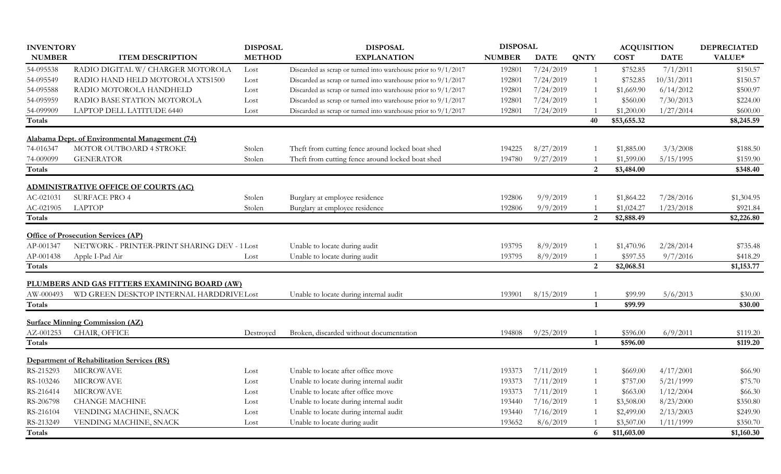| <b>INVENTORY</b> |                                                   | <b>DISPOSAL</b> | <b>DISPOSAL</b>                                                 | <b>DISPOSAL</b> |             |                | <b>ACQUISITION</b> |             | <b>DEPRECIATED</b> |
|------------------|---------------------------------------------------|-----------------|-----------------------------------------------------------------|-----------------|-------------|----------------|--------------------|-------------|--------------------|
| <b>NUMBER</b>    | <b>ITEM DESCRIPTION</b>                           | <b>METHOD</b>   | <b>EXPLANATION</b>                                              | <b>NUMBER</b>   | <b>DATE</b> | <b>QNTY</b>    | <b>COST</b>        | <b>DATE</b> | VALUE*             |
| 54-095538        | RADIO DIGITAL W/ CHARGER MOTOROLA                 | Lost            | Discarded as scrap or turned into warehouse prior to $9/1/2017$ | 192801          | 7/24/2019   |                | \$752.85           | 7/1/2011    | \$150.57           |
| 54-095549        | RADIO HAND HELD MOTOROLA XTS1500                  | Lost            | Discarded as scrap or turned into warehouse prior to $9/1/2017$ | 192801          | 7/24/2019   |                | \$752.85           | 10/31/2011  | \$150.57           |
| 54-095588        | RADIO MOTOROLA HANDHELD                           | Lost            | Discarded as scrap or turned into warehouse prior to 9/1/2017   | 192801          | 7/24/2019   |                | \$1,669.90         | 6/14/2012   | \$500.97           |
| 54-095959        | RADIO BASE STATION MOTOROLA                       | Lost            | Discarded as scrap or turned into warehouse prior to $9/1/2017$ | 192801          | 7/24/2019   |                | \$560.00           | 7/30/2013   | \$224.00           |
| 54-099909        | LAPTOP DELL LATITUDE 6440                         | Lost            | Discarded as scrap or turned into warehouse prior to 9/1/2017   | 192801          | 7/24/2019   |                | \$1,200.00         | 1/27/2014   | \$600.00           |
| <b>Totals</b>    |                                                   |                 |                                                                 |                 |             | 40             | \$53,655.32        |             | \$8,245.59         |
|                  | Alabama Dept. of Environmental Management (74)    |                 |                                                                 |                 |             |                |                    |             |                    |
| 74-016347        | MOTOR OUTBOARD 4 STROKE                           | Stolen          | Theft from cutting fence around locked boat shed                | 194225          | 8/27/2019   |                | \$1,885.00         | 3/3/2008    | \$188.50           |
| 74-009099        | <b>GENERATOR</b>                                  | Stolen          | Theft from cutting fence around locked boat shed                | 194780          | 9/27/2019   |                | \$1,599.00         | 5/15/1995   | \$159.90           |
| Totals           |                                                   |                 |                                                                 |                 |             | 2              | \$3,484.00         |             | \$348.40           |
|                  | <b>ADMINISTRATIVE OFFICE OF COURTS (AC)</b>       |                 |                                                                 |                 |             |                |                    |             |                    |
| AC-021031        | <b>SURFACE PRO 4</b>                              | Stolen          | Burglary at employee residence                                  | 192806          | 9/9/2019    |                | \$1,864.22         | 7/28/2016   | \$1,304.95         |
| AC-021905        | <b>LAPTOP</b>                                     | Stolen          | Burglary at employee residence                                  | 192806          | 9/9/2019    |                | \$1,024.27         | 1/23/2018   | \$921.84           |
| Totals           |                                                   |                 |                                                                 |                 |             | 2              | \$2,888.49         |             | \$2,226.80         |
|                  | <b>Office of Prosecution Services (AP)</b>        |                 |                                                                 |                 |             |                |                    |             |                    |
| AP-001347        | NETWORK - PRINTER-PRINT SHARING DEV - 1 Lost      |                 | Unable to locate during audit                                   | 193795          | 8/9/2019    |                | \$1,470.96         | 2/28/2014   | \$735.48           |
| AP-001438        | Apple I-Pad Air                                   | Lost            | Unable to locate during audit                                   | 193795          | 8/9/2019    |                | \$597.55           | 9/7/2016    | \$418.29           |
| Totals           |                                                   |                 |                                                                 |                 |             | $\overline{2}$ | \$2,068.51         |             | \$1,153.77         |
|                  | PLUMBERS AND GAS FITTERS EXAMINING BOARD (AW)     |                 |                                                                 |                 |             |                |                    |             |                    |
| AW-000493        | WD GREEN DESKTOP INTERNAL HARDDRIVE Lost          |                 | Unable to locate during internal audit                          | 193901          | 8/15/2019   |                | \$99.99            | 5/6/2013    | \$30.00            |
| <b>Totals</b>    |                                                   |                 |                                                                 |                 |             | $\mathbf{1}$   | \$99.99            |             | \$30.00            |
|                  | <b>Surface Minning Commission (AZ)</b>            |                 |                                                                 |                 |             |                |                    |             |                    |
| AZ-001253        | CHAIR, OFFICE                                     | Destroyed       | Broken, discarded without documentation                         | 194808          | 9/25/2019   |                | \$596.00           | 6/9/2011    | \$119.20           |
| Totals           |                                                   |                 |                                                                 |                 |             | $\mathbf{1}$   | \$596.00           |             | \$119.20           |
|                  | <b>Department of Rehabilitation Services (RS)</b> |                 |                                                                 |                 |             |                |                    |             |                    |
| RS-215293        | <b>MICROWAVE</b>                                  | Lost            | Unable to locate after office move                              | 193373          | 7/11/2019   |                | \$669.00           | 4/17/2001   | \$66.90            |
| RS-103246        | <b>MICROWAVE</b>                                  | Lost            | Unable to locate during internal audit                          | 193373          | 7/11/2019   |                | \$757.00           | 5/21/1999   | \$75.70            |
| RS-216414        | <b>MICROWAVE</b>                                  | Lost            | Unable to locate after office move                              | 193373          | 7/11/2019   |                | \$663.00           | 1/12/2004   | \$66.30            |
| RS-206798        | <b>CHANGE MACHINE</b>                             | Lost            | Unable to locate during internal audit                          | 193440          | 7/16/2019   |                | \$3,508.00         | 8/23/2000   | \$350.80           |
| RS-216104        | VENDING MACHINE, SNACK                            | Lost            | Unable to locate during internal audit                          | 193440          | 7/16/2019   |                | \$2,499.00         | 2/13/2003   | \$249.90           |
| RS-213249        | VENDING MACHINE, SNACK                            | Lost            | Unable to locate during audit                                   | 193652          | 8/6/2019    |                | \$3,507.00         | 1/11/1999   | \$350.70           |
| <b>Totals</b>    |                                                   |                 |                                                                 |                 |             | 6              | \$11,603.00        |             | \$1,160.30         |